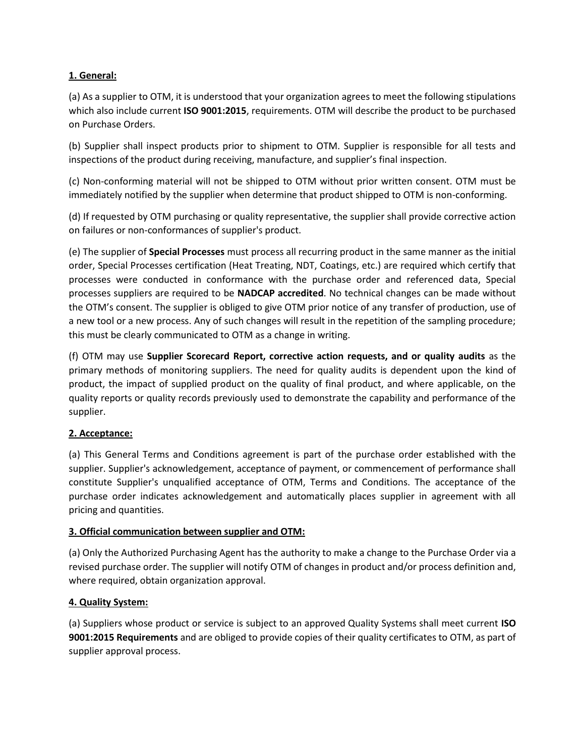### **1. General:**

(a) As a supplier to OTM, it is understood that your organization agrees to meet the following stipulations which also include current **ISO 9001:2015**, requirements. OTM will describe the product to be purchased on Purchase Orders.

(b) Supplier shall inspect products prior to shipment to OTM. Supplier is responsible for all tests and inspections of the product during receiving, manufacture, and supplier's final inspection.

(c) Non-conforming material will not be shipped to OTM without prior written consent. OTM must be immediately notified by the supplier when determine that product shipped to OTM is non-conforming.

(d) If requested by OTM purchasing or quality representative, the supplier shall provide corrective action on failures or non-conformances of supplier's product.

(e) The supplier of **Special Processes** must process all recurring product in the same manner as the initial order, Special Processes certification (Heat Treating, NDT, Coatings, etc.) are required which certify that processes were conducted in conformance with the purchase order and referenced data, Special processes suppliers are required to be **NADCAP accredited**. No technical changes can be made without the OTM's consent. The supplier is obliged to give OTM prior notice of any transfer of production, use of a new tool or a new process. Any of such changes will result in the repetition of the sampling procedure; this must be clearly communicated to OTM as a change in writing.

(f) OTM may use **Supplier Scorecard Report, corrective action requests, and or quality audits** as the primary methods of monitoring suppliers. The need for quality audits is dependent upon the kind of product, the impact of supplied product on the quality of final product, and where applicable, on the quality reports or quality records previously used to demonstrate the capability and performance of the supplier.

# **2. Acceptance:**

(a) This General Terms and Conditions agreement is part of the purchase order established with the supplier. Supplier's acknowledgement, acceptance of payment, or commencement of performance shall constitute Supplier's unqualified acceptance of OTM, Terms and Conditions. The acceptance of the purchase order indicates acknowledgement and automatically places supplier in agreement with all pricing and quantities.

### **3. Official communication between supplier and OTM:**

(a) Only the Authorized Purchasing Agent has the authority to make a change to the Purchase Order via a revised purchase order. The supplier will notify OTM of changes in product and/or process definition and, where required, obtain organization approval.

### **4. Quality System:**

(a) Suppliers whose product or service is subject to an approved Quality Systems shall meet current **ISO 9001:2015 Requirements** and are obliged to provide copies of their quality certificates to OTM, as part of supplier approval process.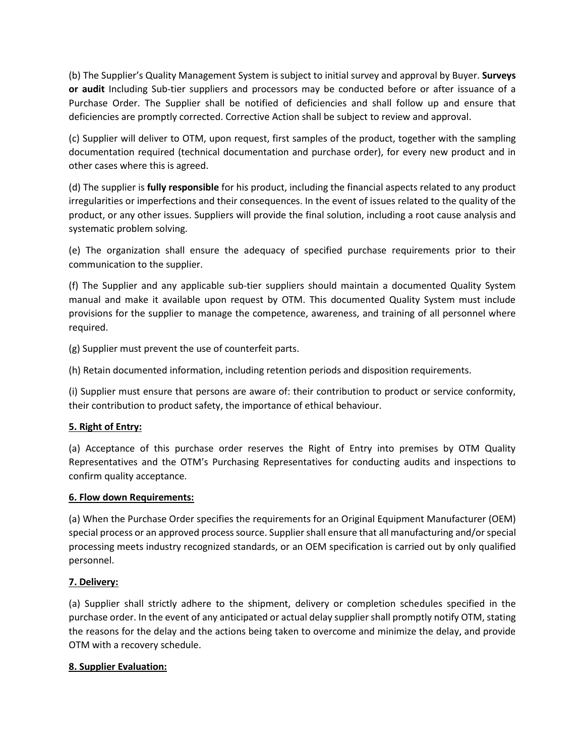(b) The Supplier's Quality Management System is subject to initial survey and approval by Buyer. **Surveys or audit** Including Sub-tier suppliers and processors may be conducted before or after issuance of a Purchase Order. The Supplier shall be notified of deficiencies and shall follow up and ensure that deficiencies are promptly corrected. Corrective Action shall be subject to review and approval.

(c) Supplier will deliver to OTM, upon request, first samples of the product, together with the sampling documentation required (technical documentation and purchase order), for every new product and in other cases where this is agreed.

(d) The supplier is **fully responsible** for his product, including the financial aspects related to any product irregularities or imperfections and their consequences. In the event of issues related to the quality of the product, or any other issues. Suppliers will provide the final solution, including a root cause analysis and systematic problem solving.

(e) The organization shall ensure the adequacy of specified purchase requirements prior to their communication to the supplier.

(f) The Supplier and any applicable sub-tier suppliers should maintain a documented Quality System manual and make it available upon request by OTM. This documented Quality System must include provisions for the supplier to manage the competence, awareness, and training of all personnel where required.

(g) Supplier must prevent the use of counterfeit parts.

(h) Retain documented information, including retention periods and disposition requirements.

(i) Supplier must ensure that persons are aware of: their contribution to product or service conformity, their contribution to product safety, the importance of ethical behaviour.

# **5. Right of Entry:**

(a) Acceptance of this purchase order reserves the Right of Entry into premises by OTM Quality Representatives and the OTM's Purchasing Representatives for conducting audits and inspections to confirm quality acceptance.

### **6. Flow down Requirements:**

(a) When the Purchase Order specifies the requirements for an Original Equipment Manufacturer (OEM) special process or an approved process source. Supplier shall ensure that all manufacturing and/or special processing meets industry recognized standards, or an OEM specification is carried out by only qualified personnel.

### **7. Delivery:**

(a) Supplier shall strictly adhere to the shipment, delivery or completion schedules specified in the purchase order. In the event of any anticipated or actual delay supplier shall promptly notify OTM, stating the reasons for the delay and the actions being taken to overcome and minimize the delay, and provide OTM with a recovery schedule.

### **8. Supplier Evaluation:**